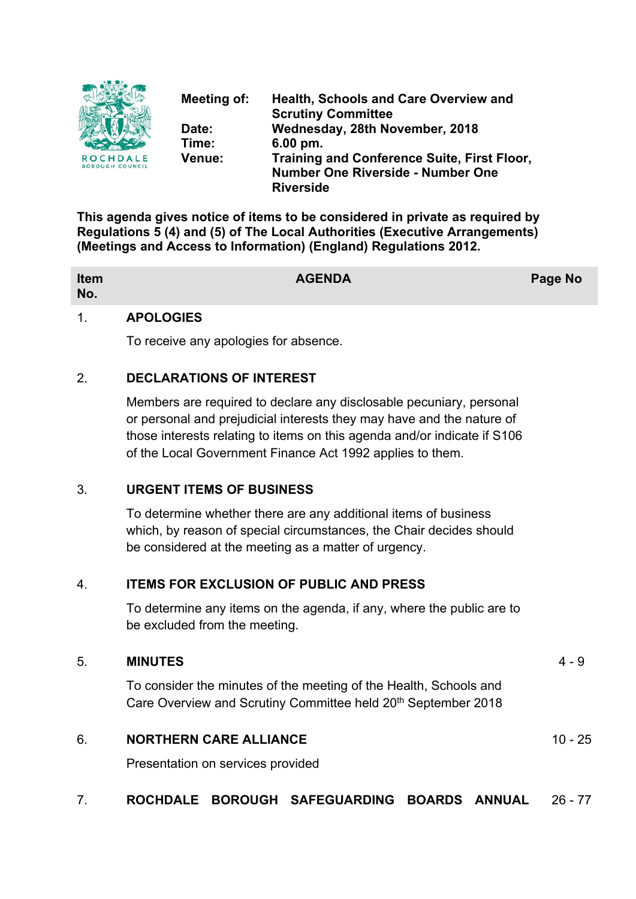

**Meeting of: Health, Schools and Care Overview and Scrutiny Committee Date: Wednesday, 28th November, 2018 Time: 6.00 pm. Venue: Training and Conference Suite, First Floor, Number One Riverside - Number One Riverside**

**This agenda gives notice of items to be considered in private as required by Regulations 5 (4) and (5) of The Local Authorities (Executive Arrangements) (Meetings and Access to Information) (England) Regulations 2012.**

| Item<br>No. | <b>AGENDA</b> | <b>Page No</b> |
|-------------|---------------|----------------|
|             |               |                |

# 1. **APOLOGIES**

To receive any apologies for absence.

# 2. **DECLARATIONS OF INTEREST**

Members are required to declare any disclosable pecuniary, personal or personal and prejudicial interests they may have and the nature of those interests relating to items on this agenda and/or indicate if S106 of the Local Government Finance Act 1992 applies to them.

## 3. **URGENT ITEMS OF BUSINESS**

To determine whether there are any additional items of business which, by reason of special circumstances, the Chair decides should be considered at the meeting as a matter of urgency.

# 4. **ITEMS FOR EXCLUSION OF PUBLIC AND PRESS**

To determine any items on the agenda, if any, where the public are to be excluded from the meeting.

## 5. **MINUTES** 4 - 9

To consider the minutes of the meeting of the Health, Schools and Care Overview and Scrutiny Committee held 20<sup>th</sup> September 2018

# 6. **NORTHERN CARE ALLIANCE** 10 - 25

Presentation on services provided

# 7. **ROCHDALE BOROUGH SAFEGUARDING BOARDS ANNUAL** 26 - 77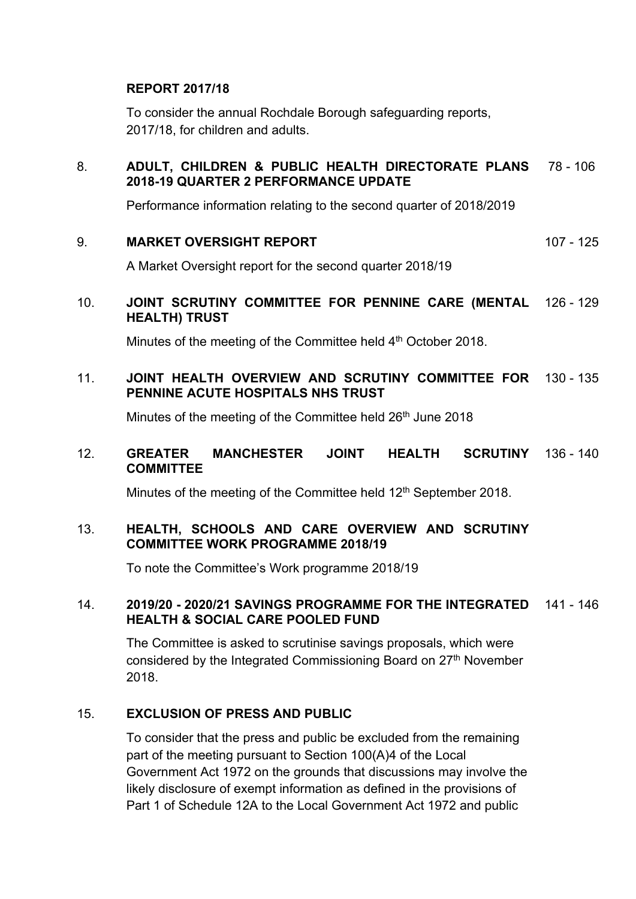## **REPORT 2017/18**

To consider the annual Rochdale Borough safeguarding reports, 2017/18, for children and adults.

#### 8. **ADULT, CHILDREN & PUBLIC HEALTH DIRECTORATE PLANS 2018-19 QUARTER 2 PERFORMANCE UPDATE** 78 - 106

Performance information relating to the second quarter of 2018/2019

### 9. **MARKET OVERSIGHT REPORT** 107 - 125

A Market Oversight report for the second quarter 2018/19

## 10. **JOINT SCRUTINY COMMITTEE FOR PENNINE CARE (MENTAL** 126 - 129 **HEALTH) TRUST**

Minutes of the meeting of the Committee held 4<sup>th</sup> October 2018.

# 11. **JOINT HEALTH OVERVIEW AND SCRUTINY COMMITTEE FOR** 130 - 135 **PENNINE ACUTE HOSPITALS NHS TRUST**

Minutes of the meeting of the Committee held 26<sup>th</sup> June 2018

#### 12. **GREATER MANCHESTER JOINT HEALTH SCRUTINY COMMITTEE SCRUTINY** 136 - 140

Minutes of the meeting of the Committee held 12<sup>th</sup> September 2018.

## 13. **HEALTH, SCHOOLS AND CARE OVERVIEW AND SCRUTINY COMMITTEE WORK PROGRAMME 2018/19**

To note the Committee's Work programme 2018/19

### 14. **2019/20 - 2020/21 SAVINGS PROGRAMME FOR THE INTEGRATED** 141 - 146 **HEALTH & SOCIAL CARE POOLED FUND**

The Committee is asked to scrutinise savings proposals, which were considered by the Integrated Commissioning Board on 27th November 2018.

## 15. **EXCLUSION OF PRESS AND PUBLIC**

To consider that the press and public be excluded from the remaining part of the meeting pursuant to Section 100(A)4 of the Local Government Act 1972 on the grounds that discussions may involve the likely disclosure of exempt information as defined in the provisions of Part 1 of Schedule 12A to the Local Government Act 1972 and public